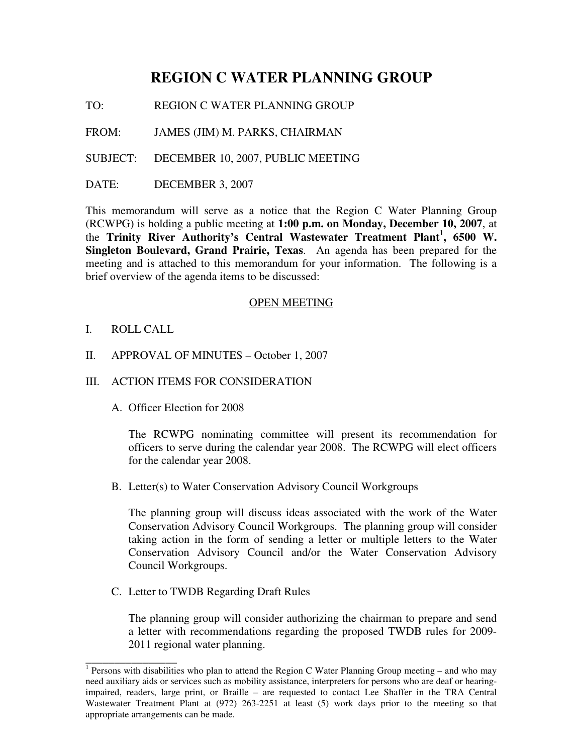# **REGION C WATER PLANNING GROUP**

TO: REGION C WATER PLANNING GROUP

FROM: JAMES (JIM) M. PARKS, CHAIRMAN

SUBJECT: DECEMBER 10, 2007, PUBLIC MEETING

DATE: DECEMBER 3, 2007

This memorandum will serve as a notice that the Region C Water Planning Group (RCWPG) is holding a public meeting at **1:00 p.m. on Monday, December 10, 2007**, at the **Trinity River Authority's Central Wastewater Treatment Plant 1 , 6500 W. Singleton Boulevard, Grand Prairie, Texas**. An agenda has been prepared for the meeting and is attached to this memorandum for your information. The following is a brief overview of the agenda items to be discussed:

### OPEN MEETING

- I. ROLL CALL
- II. APPROVAL OF MINUTES October 1, 2007
- III. ACTION ITEMS FOR CONSIDERATION
	- A. Officer Election for 2008

The RCWPG nominating committee will present its recommendation for officers to serve during the calendar year 2008. The RCWPG will elect officers for the calendar year 2008.

B. Letter(s) to Water Conservation Advisory Council Workgroups

The planning group will discuss ideas associated with the work of the Water Conservation Advisory Council Workgroups. The planning group will consider taking action in the form of sending a letter or multiple letters to the Water Conservation Advisory Council and/or the Water Conservation Advisory Council Workgroups.

C. Letter to TWDB Regarding Draft Rules

The planning group will consider authorizing the chairman to prepare and send a letter with recommendations regarding the proposed TWDB rules for 2009- 2011 regional water planning.

<sup>1&</sup>lt;br><sup>1</sup> Persons with disabilities who plan to attend the Region C Water Planning Group meeting – and who may need auxiliary aids or services such as mobility assistance, interpreters for persons who are deaf or hearingimpaired, readers, large print, or Braille – are requested to contact Lee Shaffer in the TRA Central Wastewater Treatment Plant at (972) 263-2251 at least (5) work days prior to the meeting so that appropriate arrangements can be made.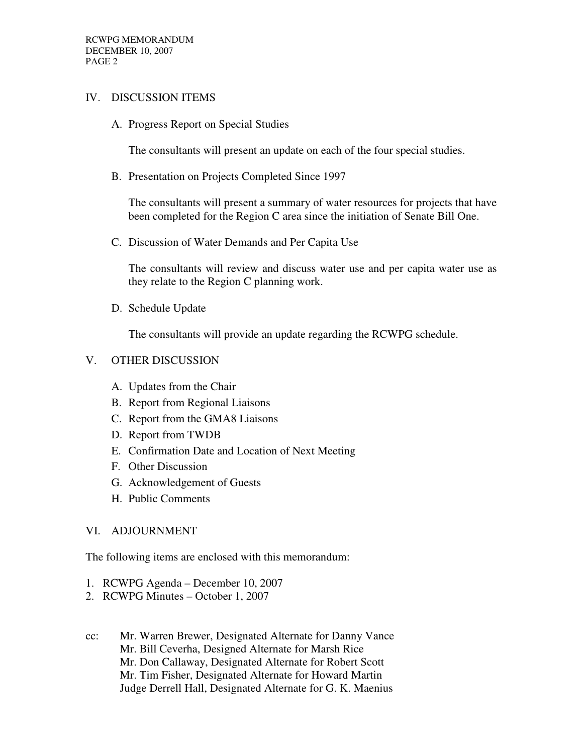## IV. DISCUSSION ITEMS

A. Progress Report on Special Studies

The consultants will present an update on each of the four special studies.

B. Presentation on Projects Completed Since 1997

The consultants will present a summary of water resources for projects that have been completed for the Region C area since the initiation of Senate Bill One.

C. Discussion of Water Demands and Per Capita Use

The consultants will review and discuss water use and per capita water use as they relate to the Region C planning work.

D. Schedule Update

The consultants will provide an update regarding the RCWPG schedule.

## V. OTHER DISCUSSION

- A. Updates from the Chair
- B. Report from Regional Liaisons
- C. Report from the GMA8 Liaisons
- D. Report from TWDB
- E. Confirmation Date and Location of Next Meeting
- F. Other Discussion
- G. Acknowledgement of Guests
- H. Public Comments

### VI. ADJOURNMENT

The following items are enclosed with this memorandum:

- 1. RCWPG Agenda December 10, 2007
- 2. RCWPG Minutes October 1, 2007
- cc: Mr. Warren Brewer, Designated Alternate for Danny Vance Mr. Bill Ceverha, Designed Alternate for Marsh Rice Mr. Don Callaway, Designated Alternate for Robert Scott Mr. Tim Fisher, Designated Alternate for Howard Martin Judge Derrell Hall, Designated Alternate for G. K. Maenius